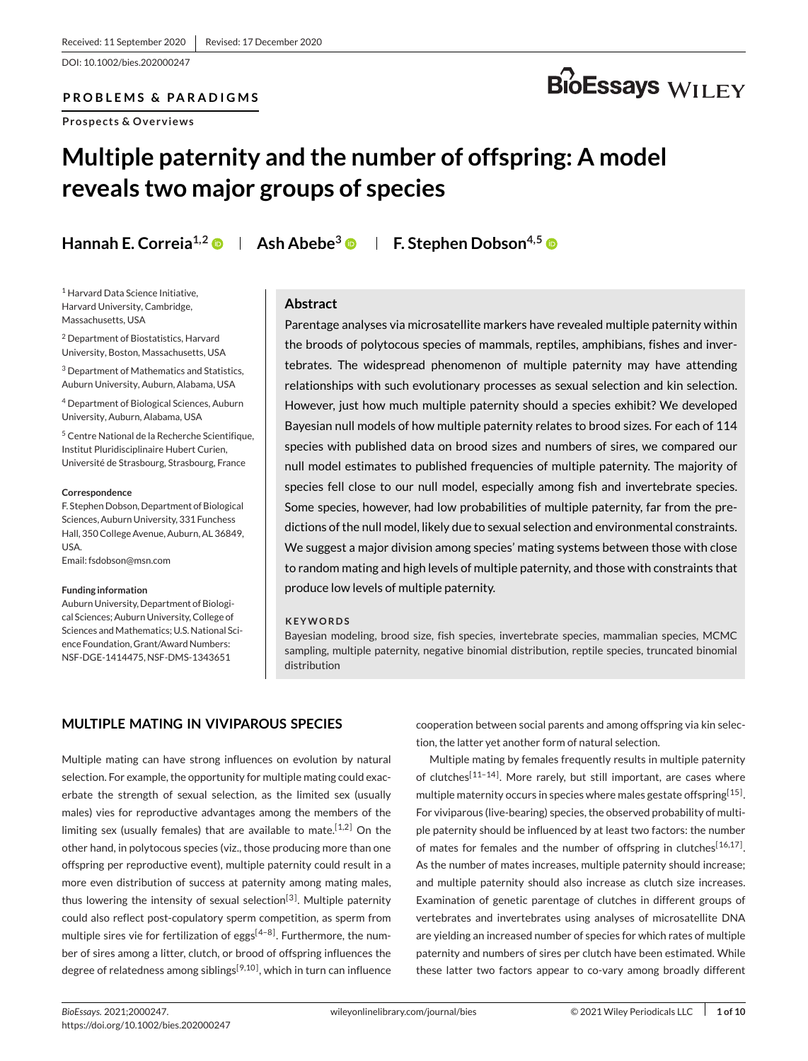DOI: 10.1002/bies.202000247

### **PROBLEMS & PARADIGMS**

**Prospects & Overviews**

# **BioEssays** WILEY

# **Multiple paternity and the number of offspring: A model reveals two major groups of species**

**Hannah E. Correia<sup>1,2</sup>**  $\bullet$  **| Ash Abebe<sup>3</sup>**  $\bullet$  **| F. Stephen Dobson<sup>4,5</sup>**  $\bullet$ 

<sup>1</sup> Harvard Data Science Initiative, Harvard University, Cambridge, Massachusetts, USA

<sup>2</sup> Department of Biostatistics, Harvard University, Boston, Massachusetts, USA

<sup>3</sup> Department of Mathematics and Statistics, Auburn University, Auburn, Alabama, USA

<sup>4</sup> Department of Biological Sciences, Auburn University, Auburn, Alabama, USA

<sup>5</sup> Centre National de la Recherche Scientifique, Institut Pluridisciplinaire Hubert Curien, Université de Strasbourg, Strasbourg, France

#### **Correspondence**

F. Stephen Dobson, Department of Biological Sciences, Auburn University, 331 Funchess Hall, 350 College Avenue, Auburn, AL 36849, USA.

Email[: fsdobson@msn.com](mailto:fsdobson@msn.com)

#### **Funding information**

Auburn University, Department of Biological Sciences; Auburn University, College of Sciences and Mathematics; U.S. National Science Foundation, Grant/Award Numbers: NSF-DGE-1414475, NSF-DMS-1343651

#### **Abstract**

Parentage analyses via microsatellite markers have revealed multiple paternity within the broods of polytocous species of mammals, reptiles, amphibians, fishes and invertebrates. The widespread phenomenon of multiple paternity may have attending relationships with such evolutionary processes as sexual selection and kin selection. However, just how much multiple paternity should a species exhibit? We developed Bayesian null models of how multiple paternity relates to brood sizes. For each of 114 species with published data on brood sizes and numbers of sires, we compared our null model estimates to published frequencies of multiple paternity. The majority of species fell close to our null model, especially among fish and invertebrate species. Some species, however, had low probabilities of multiple paternity, far from the predictions of the null model, likely due to sexual selection and environmental constraints. We suggest a major division among species' mating systems between those with close to random mating and high levels of multiple paternity, and those with constraints that produce low levels of multiple paternity.

#### **KEYWORDS**

Bayesian modeling, brood size, fish species, invertebrate species, mammalian species, MCMC sampling, multiple paternity, negative binomial distribution, reptile species, truncated binomial distribution

# **MULTIPLE MATING IN VIVIPAROUS SPECIES**

Multiple mating can have strong influences on evolution by natural selection. For example, the opportunity for multiple mating could exacerbate the strength of sexual selection, as the limited sex (usually males) vies for reproductive advantages among the members of the limiting sex (usually females) that are available to mate.<sup>[1,2]</sup> On the other hand, in polytocous species (viz., those producing more than one offspring per reproductive event), multiple paternity could result in a more even distribution of success at paternity among mating males, thus lowering the intensity of sexual selection<sup>[\[3\]](#page-8-0)</sup>. Multiple paternity could also reflect post-copulatory sperm competition, as sperm from multiple sires vie for fertilization of eggs $[4-8]$ . Furthermore, the number of sires among a litter, clutch, or brood of offspring influences the degree of relatedness among siblings<sup>[9,10]</sup>, which in turn can influence

cooperation between social parents and among offspring via kin selection, the latter yet another form of natural selection.

Multiple mating by females frequently results in multiple paternity of clutches<sup>[11-14]</sup>. More rarely, but still important, are cases where multiple maternity occurs in species where males gestate offspring<sup>[15]</sup>. For viviparous (live-bearing) species, the observed probability of multiple paternity should be influenced by at least two factors: the number of mates for females and the number of offspring in clutches<sup>[16,17]</sup>. As the number of mates increases, multiple paternity should increase; and multiple paternity should also increase as clutch size increases. Examination of genetic parentage of clutches in different groups of vertebrates and invertebrates using analyses of microsatellite DNA are yielding an increased number of species for which rates of multiple paternity and numbers of sires per clutch have been estimated. While these latter two factors appear to co-vary among broadly different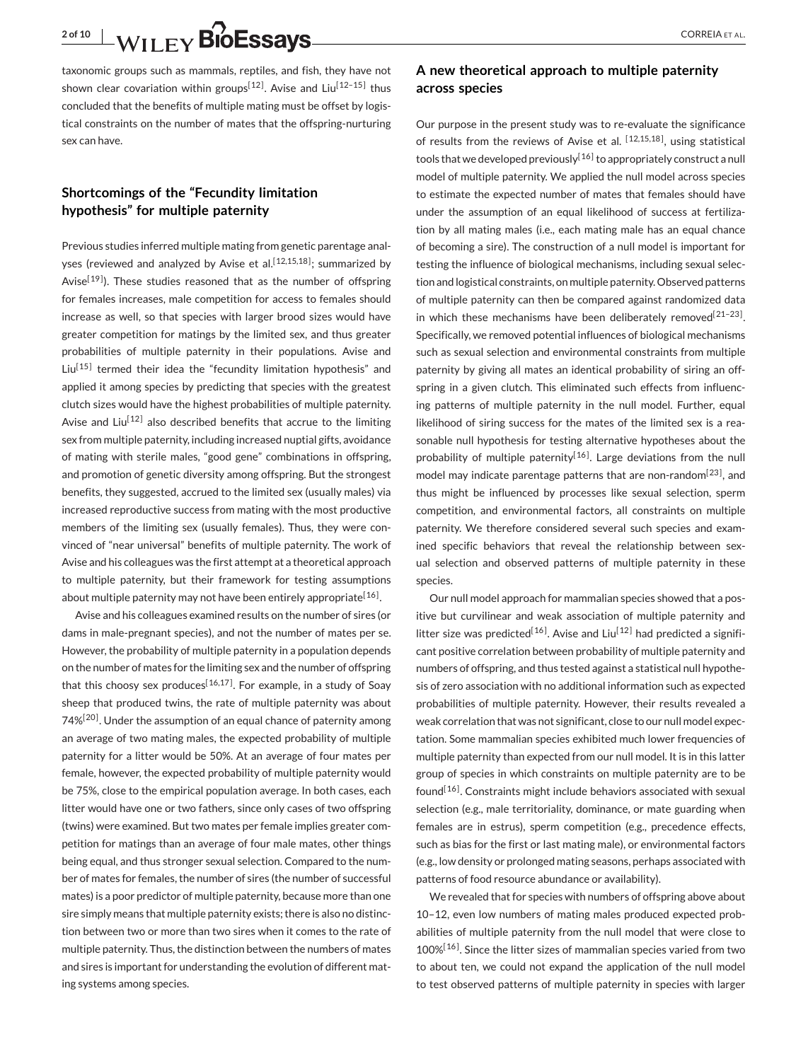**2 of 10** CORREIA ET AL.

taxonomic groups such as mammals, reptiles, and fish, they have not shown clear covariation within groups<sup>[12]</sup>. Avise and Liu<sup>[12-15]</sup> thus concluded that the benefits of multiple mating must be offset by logistical constraints on the number of mates that the offspring-nurturing sex can have.

# **Shortcomings of the "Fecundity limitation hypothesis" for multiple paternity**

Previous studies inferred multiple mating from genetic parentage analyses (reviewed and analyzed by Avise et al.<sup>[12,15,18]</sup>; summarized by Avise<sup>[19]</sup>). These studies reasoned that as the number of offspring for females increases, male competition for access to females should increase as well, so that species with larger brood sizes would have greater competition for matings by the limited sex, and thus greater probabilities of multiple paternity in their populations. Avise and Liu<sup>[15]</sup> termed their idea the "fecundity limitation hypothesis" and applied it among species by predicting that species with the greatest clutch sizes would have the highest probabilities of multiple paternity. Avise and Liu<sup>[12]</sup> also described benefits that accrue to the limiting sex from multiple paternity, including increased nuptial gifts, avoidance of mating with sterile males, "good gene" combinations in offspring, and promotion of genetic diversity among offspring. But the strongest benefits, they suggested, accrued to the limited sex (usually males) via increased reproductive success from mating with the most productive members of the limiting sex (usually females). Thus, they were convinced of "near universal" benefits of multiple paternity. The work of Avise and his colleagues was the first attempt at a theoretical approach to multiple paternity, but their framework for testing assumptions about multiple paternity may not have been entirely appropriate  $[16]$ .

Avise and his colleagues examined results on the number of sires (or dams in male-pregnant species), and not the number of mates per se. However, the probability of multiple paternity in a population depends on the number of mates for the limiting sex and the number of offspring that this choosy sex produces<sup>[16,17]</sup>. For example, in a study of Soay sheep that produced twins, the rate of multiple paternity was about 74%<sup>[20]</sup>. Under the assumption of an equal chance of paternity among an average of two mating males, the expected probability of multiple paternity for a litter would be 50%. At an average of four mates per female, however, the expected probability of multiple paternity would be 75%, close to the empirical population average. In both cases, each litter would have one or two fathers, since only cases of two offspring (twins) were examined. But two mates per female implies greater competition for matings than an average of four male mates, other things being equal, and thus stronger sexual selection. Compared to the number of mates for females, the number of sires (the number of successful mates) is a poor predictor of multiple paternity, because more than one sire simply means that multiple paternity exists; there is also no distinction between two or more than two sires when it comes to the rate of multiple paternity. Thus, the distinction between the numbers of mates and sires is important for understanding the evolution of different mating systems among species.

## **A new theoretical approach to multiple paternity across species**

Our purpose in the present study was to re-evaluate the significance of results from the reviews of Avise et al.  $[12,15,18]$ , using statistical tools that we developed previously<sup>[16]</sup> to appropriately construct a null model of multiple paternity. We applied the null model across species to estimate the expected number of mates that females should have under the assumption of an equal likelihood of success at fertilization by all mating males (i.e., each mating male has an equal chance of becoming a sire). The construction of a null model is important for testing the influence of biological mechanisms, including sexual selection and logistical constraints, on multiple paternity. Observed patterns of multiple paternity can then be compared against randomized data in which these mechanisms have been deliberately removed<sup>[21-23]</sup>. Specifically, we removed potential influences of biological mechanisms such as sexual selection and environmental constraints from multiple paternity by giving all mates an identical probability of siring an offspring in a given clutch. This eliminated such effects from influencing patterns of multiple paternity in the null model. Further, equal likelihood of siring success for the mates of the limited sex is a reasonable null hypothesis for testing alternative hypotheses about the probability of multiple paternity<sup>[16]</sup>. Large deviations from the null model may indicate parentage patterns that are non-random $^{[23]}$ , and thus might be influenced by processes like sexual selection, sperm competition, and environmental factors, all constraints on multiple paternity. We therefore considered several such species and examined specific behaviors that reveal the relationship between sexual selection and observed patterns of multiple paternity in these species.

Our null model approach for mammalian species showed that a positive but curvilinear and weak association of multiple paternity and litter size was predicted<sup>[16]</sup>. Avise and Liu<sup>[12]</sup> had predicted a significant positive correlation between probability of multiple paternity and numbers of offspring, and thus tested against a statistical null hypothesis of zero association with no additional information such as expected probabilities of multiple paternity. However, their results revealed a weak correlation that was not significant, close to our null model expectation. Some mammalian species exhibited much lower frequencies of multiple paternity than expected from our null model. It is in this latter group of species in which constraints on multiple paternity are to be  $found<sup>[16]</sup>$ . Constraints might include behaviors associated with sexual selection (e.g., male territoriality, dominance, or mate guarding when females are in estrus), sperm competition (e.g., precedence effects, such as bias for the first or last mating male), or environmental factors (e.g., low density or prolonged mating seasons, perhaps associated with patterns of food resource abundance or availability).

We revealed that for species with numbers of offspring above about 10–12, even low numbers of mating males produced expected probabilities of multiple paternity from the null model that were close to 100%<sup>[16]</sup>. Since the litter sizes of mammalian species varied from two to about ten, we could not expand the application of the null model to test observed patterns of multiple paternity in species with larger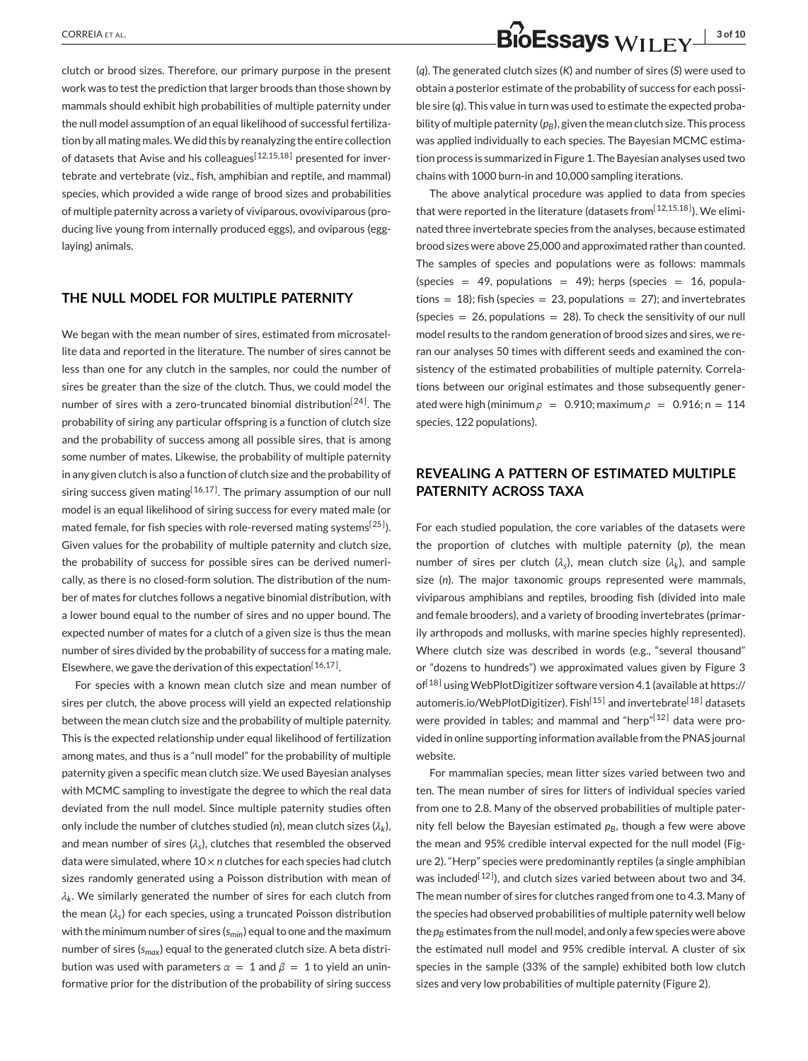clutch or brood sizes. Therefore, our primary purpose in the present work was to test the prediction that larger broods than those shown by mammals should exhibit high probabilities of multiple paternity under the null model assumption of an equal likelihood of successful fertilization by all mating males.We did this by reanalyzing the entire collection of datasets that Avise and his colleagues<sup>[12,15,18]</sup> presented for invertebrate and vertebrate (viz., fish, amphibian and reptile, and mammal) species, which provided a wide range of brood sizes and probabilities of multiple paternity across a variety of viviparous, ovoviviparous (producing live young from internally produced eggs), and oviparous (egglaying) animals.

## **THE NULL MODEL FOR MULTIPLE PATERNITY**

We began with the mean number of sires, estimated from microsatellite data and reported in the literature. The number of sires cannot be less than one for any clutch in the samples, nor could the number of sires be greater than the size of the clutch. Thus, we could model the number of sires with a zero-truncated binomial distribution<sup>[24]</sup>. The probability of siring any particular offspring is a function of clutch size and the probability of success among all possible sires, that is among some number of mates. Likewise, the probability of multiple paternity in any given clutch is also a function of clutch size and the probability of siring success given mating  $[16,17]$ . The primary assumption of our null model is an equal likelihood of siring success for every mated male (or mated female, for fish species with role-reversed mating systems<sup>[25]</sup>). Given values for the probability of multiple paternity and clutch size, the probability of success for possible sires can be derived numerically, as there is no closed-form solution. The distribution of the number of mates for clutches follows a negative binomial distribution, with a lower bound equal to the number of sires and no upper bound. The expected number of mates for a clutch of a given size is thus the mean number of sires divided by the probability of success for a mating male. Elsewhere, we gave the derivation of this expectation<sup>[16,17]</sup>.

For species with a known mean clutch size and mean number of sires per clutch, the above process will yield an expected relationship between the mean clutch size and the probability of multiple paternity. This is the expected relationship under equal likelihood of fertilization among mates, and thus is a "null model" for the probability of multiple paternity given a specific mean clutch size. We used Bayesian analyses with MCMC sampling to investigate the degree to which the real data deviated from the null model. Since multiple paternity studies often only include the number of clutches studied (*n*), mean clutch sizes (*λk*), and mean number of sires  $(\lambda_s)$ , clutches that resembled the observed data were simulated, where 10 × *n* clutches for each species had clutch sizes randomly generated using a Poisson distribution with mean of *λk*. We similarly generated the number of sires for each clutch from the mean (*λs*) for each species, using a truncated Poisson distribution with the minimum number of sires (*smin*) equal to one and the maximum number of sires (*smax*) equal to the generated clutch size. A beta distribution was used with parameters  $\alpha = 1$  and  $\beta = 1$  to yield an uninformative prior for the distribution of the probability of siring success

# **CORREIA ET AL. 3 of 10 CORREIA** ET AL. **3 of 10 BIOESSAYS** WILEY  $\frac{1}{3}$  **3 of 10**

(*q*). The generated clutch sizes (*K*) and number of sires (*S*) were used to obtain a posterior estimate of the probability of success for each possible sire (*q*). This value in turn was used to estimate the expected probability of multiple paternity  $(p_B)$ , given the mean clutch size. This process was applied individually to each species. The Bayesian MCMC estimation process is summarized in Figur[e 1.](#page-3-0) The Bayesian analyses used two chains with 1000 burn-in and 10,000 sampling iterations.

The above analytical procedure was applied to data from species that were reported in the literature (datasets from [12,15,18]). We eliminated three invertebrate species from the analyses, because estimated brood sizes were above 25,000 and approximated rather than counted. The samples of species and populations were as follows: mammals (species = 49, populations = 49); herps (species = 16, populations = 18); fish (species = 23, populations = 27); and invertebrates (species  $= 26$ , populations  $= 28$ ). To check the sensitivity of our null model results to the random generation of brood sizes and sires, we reran our analyses 50 times with different seeds and examined the consistency of the estimated probabilities of multiple paternity. Correlations between our original estimates and those subsequently generated were high (minimum  $\rho = 0.910$ ; maximum  $\rho = 0.916$ ; n = 114 species, 122 populations).

# **REVEALING A PATTERN OF ESTIMATED MULTIPLE PATERNITY ACROSS TAXA**

For each studied population, the core variables of the datasets were the proportion of clutches with multiple paternity (*p*), the mean number of sires per clutch ( $\lambda$ <sub>s</sub>), mean clutch size ( $\lambda$ <sub>*k*</sub>), and sample size (*n*). The major taxonomic groups represented were mammals, viviparous amphibians and reptiles, brooding fish (divided into male and female brooders), and a variety of brooding invertebrates (primarily arthropods and mollusks, with marine species highly represented). Where clutch size was described in words (e.g., "several thousand" or "dozens to hundreds") we approximated values given by Figure [3](#page-5-0) of<sup>[18]</sup> using WebPlotDigitizer software version 4.1 (available at [https://](https://automeris.io/WebPlotDigitizer) [automeris.io/WebPlotDigitizer\)](https://automeris.io/WebPlotDigitizer). Fish<sup>[15]</sup> and invertebrate<sup>[18]</sup> datasets were provided in tables; and mammal and "herp"[12] data were provided in online supporting information available from the PNAS journal website.

For mammalian species, mean litter sizes varied between two and ten. The mean number of sires for litters of individual species varied from one to 2.8. Many of the observed probabilities of multiple paternity fell below the Bayesian estimated  $p_B$ , though a few were above the mean and 95% credible interval expected for the null model (Figure [2\)](#page-3-0). "Herp" species were predominantly reptiles (a single amphibian was included<sup>[12]</sup>), and clutch sizes varied between about two and 34. The mean number of sires for clutches ranged from one to 4.3. Many of the species had observed probabilities of multiple paternity well below the  $p_B$  estimates from the null model, and only a few species were above the estimated null model and 95% credible interval. A cluster of six species in the sample (33% of the sample) exhibited both low clutch sizes and very low probabilities of multiple paternity (Figure [2\)](#page-3-0).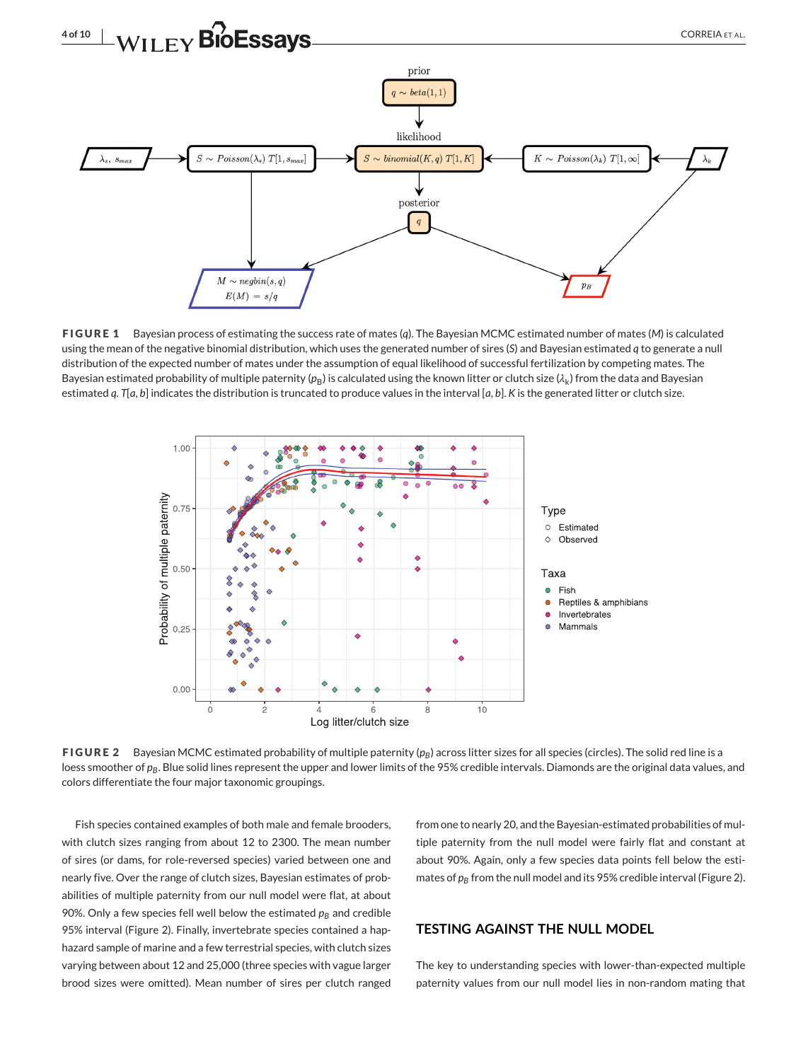<span id="page-3-0"></span>

**FIGURE 1** Bayesian process of estimating the success rate of mates (*q*). The Bayesian MCMC estimated number of mates (*M*) is calculated using the mean of the negative binomial distribution, which uses the generated number of sires (*S*) and Bayesian estimated *q* to generate a null distribution of the expected number of mates under the assumption of equal likelihood of successful fertilization by competing mates. The Bayesian estimated probability of multiple paternity ( $p_B$ ) is calculated using the known litter or clutch size ( $\lambda_k$ ) from the data and Bayesian estimated *q*. *T*[*a*, *b*] indicates the distribution is truncated to produce values in the interval [*a*, *b*]. *K* is the generated litter or clutch size.



**FIGURE 2** Bayesian MCMC estimated probability of multiple paternity ( $p<sub>B</sub>$ ) across litter sizes for all species (circles). The solid red line is a loess smoother of  $p_B$ . Blue solid lines represent the upper and lower limits of the 95% credible intervals. Diamonds are the original data values, and colors differentiate the four major taxonomic groupings.

Fish species contained examples of both male and female brooders, with clutch sizes ranging from about 12 to 2300. The mean number of sires (or dams, for role-reversed species) varied between one and nearly five. Over the range of clutch sizes, Bayesian estimates of probabilities of multiple paternity from our null model were flat, at about 90%. Only a few species fell well below the estimated  $p_B$  and credible 95% interval (Figure 2). Finally, invertebrate species contained a haphazard sample of marine and a few terrestrial species, with clutch sizes varying between about 12 and 25,000 (three species with vague larger brood sizes were omitted). Mean number of sires per clutch ranged

from one to nearly 20, and the Bayesian-estimated probabilities of multiple paternity from the null model were fairly flat and constant at about 90%. Again, only a few species data points fell below the estimates of  $p_B$  from the null model and its 95% credible interval (Figure 2).

#### **TESTING AGAINST THE NULL MODEL**

The key to understanding species with lower-than-expected multiple paternity values from our null model lies in non-random mating that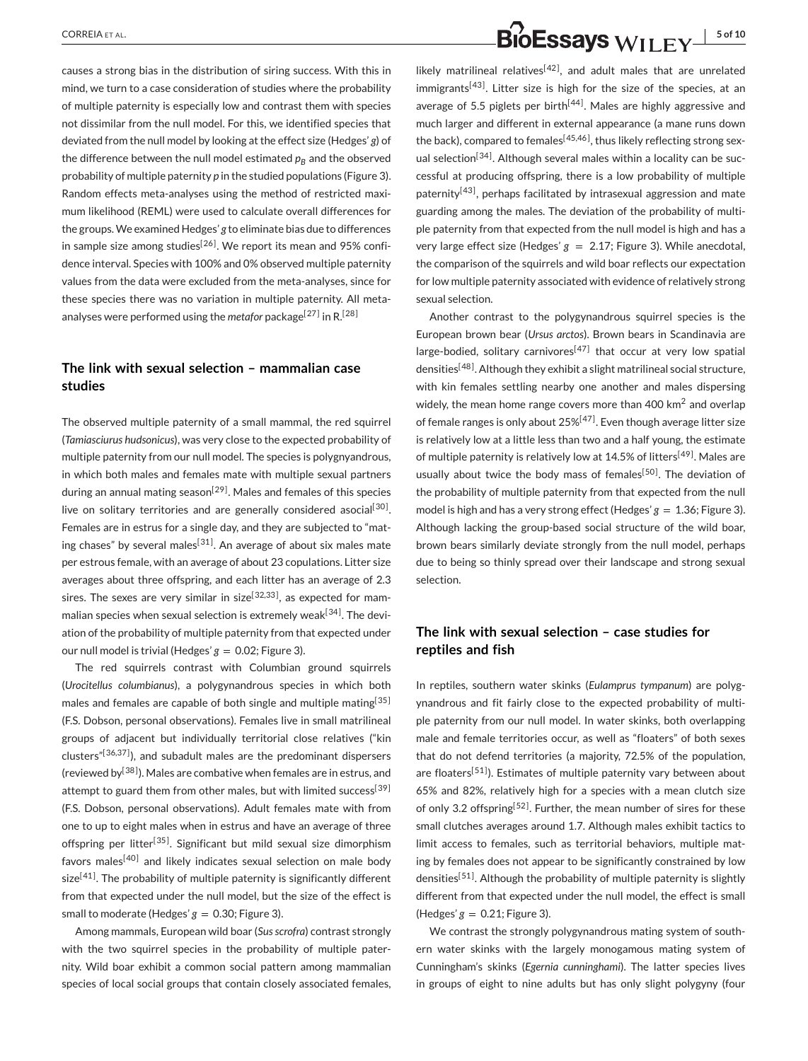causes a strong bias in the distribution of siring success. With this in mind, we turn to a case consideration of studies where the probability of multiple paternity is especially low and contrast them with species not dissimilar from the null model. For this, we identified species that deviated from the null model by looking at the effect size (Hedges' *g*) of the difference between the null model estimated  $p<sub>B</sub>$  and the observed probability of multiple paternity *p* in the studied populations (Figure [3\)](#page-5-0). Random effects meta-analyses using the method of restricted maximum likelihood (REML) were used to calculate overall differences for the groups.We examined Hedges' *g* to eliminate bias due to differences in sample size among studies<sup>[26]</sup>. We report its mean and 95% confidence interval. Species with 100% and 0% observed multiple paternity values from the data were excluded from the meta-analyses, since for these species there was no variation in multiple paternity. All metaanalyses were performed using the *metafor* package<sup>[27]</sup> in R.<sup>[28]</sup>

# **The link with sexual selection – mammalian case studies**

The observed multiple paternity of a small mammal, the red squirrel (*Tamiasciurus hudsonicus*), was very close to the expected probability of multiple paternity from our null model. The species is polygnyandrous, in which both males and females mate with multiple sexual partners during an annual mating season<sup>[29]</sup>. Males and females of this species live on solitary territories and are generally considered asocial<sup>[30]</sup>. Females are in estrus for a single day, and they are subjected to "mating chases" by several males<sup>[31]</sup>. An average of about six males mate per estrous female, with an average of about 23 copulations. Litter size averages about three offspring, and each litter has an average of 2.3 sires. The sexes are very similar in size<sup>[32,33]</sup>, as expected for mammalian species when sexual selection is extremely weak $[34]$ . The deviation of the probability of multiple paternity from that expected under our null model is trivial (Hedges'  $g = 0.02$ ; Figure [3\)](#page-5-0).

The red squirrels contrast with Columbian ground squirrels (*Urocitellus columbianus*), a polygynandrous species in which both males and females are capable of both single and multiple mating<sup>[35]</sup> (F.S. Dobson, personal observations). Females live in small matrilineal groups of adjacent but individually territorial close relatives ("kin clusters" $[36,37]$ ), and subadult males are the predominant dispersers (reviewed by<sup>[38]</sup>). Males are combative when females are in estrus, and attempt to guard them from other males, but with limited success<sup>[39]</sup> (F.S. Dobson, personal observations). Adult females mate with from one to up to eight males when in estrus and have an average of three offspring per litter<sup>[35]</sup>. Significant but mild sexual size dimorphism favors males<sup>[40]</sup> and likely indicates sexual selection on male body  $size^{[41]}$ . The probability of multiple paternity is significantly different from that expected under the null model, but the size of the effect is small to moderate (Hedges'  $g = 0.30$ ; Figure [3\)](#page-5-0).

Among mammals, European wild boar (*Sus scrofra*) contrast strongly with the two squirrel species in the probability of multiple paternity. Wild boar exhibit a common social pattern among mammalian species of local social groups that contain closely associated females,

likely matrilineal relatives<sup>[42]</sup>, and adult males that are unrelated immigrants<sup>[43]</sup>. Litter size is high for the size of the species, at an average of 5.5 piglets per birth<sup> $[44]$ </sup>. Males are highly aggressive and much larger and different in external appearance (a mane runs down the back), compared to females<sup>[45,46]</sup>, thus likely reflecting strong sexual selection<sup>[34]</sup>. Although several males within a locality can be successful at producing offspring, there is a low probability of multiple paternity<sup>[43]</sup>, perhaps facilitated by intrasexual aggression and mate guarding among the males. The deviation of the probability of multiple paternity from that expected from the null model is high and has a very large effect size (Hedges'  $g = 2.17$ ; Figure [3\)](#page-5-0). While anecdotal, the comparison of the squirrels and wild boar reflects our expectation for low multiple paternity associated with evidence of relatively strong sexual selection.

Another contrast to the polygynandrous squirrel species is the European brown bear (*Ursus arctos*). Brown bears in Scandinavia are large-bodied, solitary carnivores<sup>[47]</sup> that occur at very low spatial densities<sup>[48]</sup>. Although they exhibit a slight matrilineal social structure, with kin females settling nearby one another and males dispersing widely, the mean home range covers more than 400 km<sup>2</sup> and overlap of female ranges is only about  $25\%^{[47]}$ . Even though average litter size is relatively low at a little less than two and a half young, the estimate of multiple paternity is relatively low at 14.5% of litters<sup>[49]</sup>. Males are usually about twice the body mass of females<sup>[50]</sup>. The deviation of the probability of multiple paternity from that expected from the null model is high and has a very strong effect (Hedges' *g* = 1.36; Figure [3\)](#page-5-0). Although lacking the group-based social structure of the wild boar, brown bears similarly deviate strongly from the null model, perhaps due to being so thinly spread over their landscape and strong sexual selection.

## **The link with sexual selection – case studies for reptiles and fish**

In reptiles, southern water skinks (*Eulamprus tympanum*) are polygynandrous and fit fairly close to the expected probability of multiple paternity from our null model. In water skinks, both overlapping male and female territories occur, as well as "floaters" of both sexes that do not defend territories (a majority, 72.5% of the population, are floaters<sup>[51]</sup>). Estimates of multiple paternity vary between about 65% and 82%, relatively high for a species with a mean clutch size of only 3.2 offspring<sup>[52]</sup>. Further, the mean number of sires for these small clutches averages around 1.7. Although males exhibit tactics to limit access to females, such as territorial behaviors, multiple mating by females does not appear to be significantly constrained by low densities<sup>[51]</sup>. Although the probability of multiple paternity is slightly different from that expected under the null model, the effect is small (Hedges'  $g = 0.21$ ; Figure [3\)](#page-5-0).

We contrast the strongly polygynandrous mating system of southern water skinks with the largely monogamous mating system of Cunningham's skinks (*Egernia cunninghami*). The latter species lives in groups of eight to nine adults but has only slight polygyny (four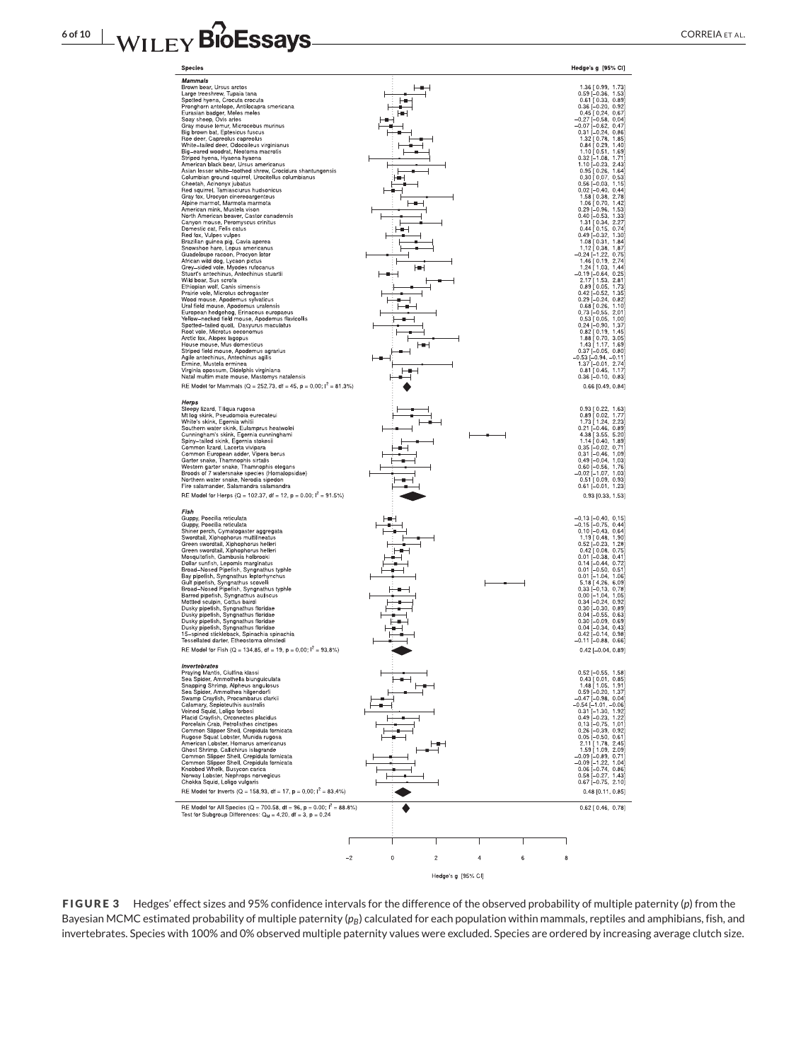# <span id="page-5-0"></span>**6 of 10 WILEY BIOESSAyS**



**FIGURE 3** Hedges' effect sizes and 95% confidence intervals for the difference of the observed probability of multiple paternity (*p*) from the Bayesian MCMC estimated probability of multiple paternity (p<sub>B</sub>) calculated for each population within mammals, reptiles and amphibians, fish, and invertebrates. Species with 100% and 0% observed multiple paternity values were excluded. Species are ordered by increasing average clutch size.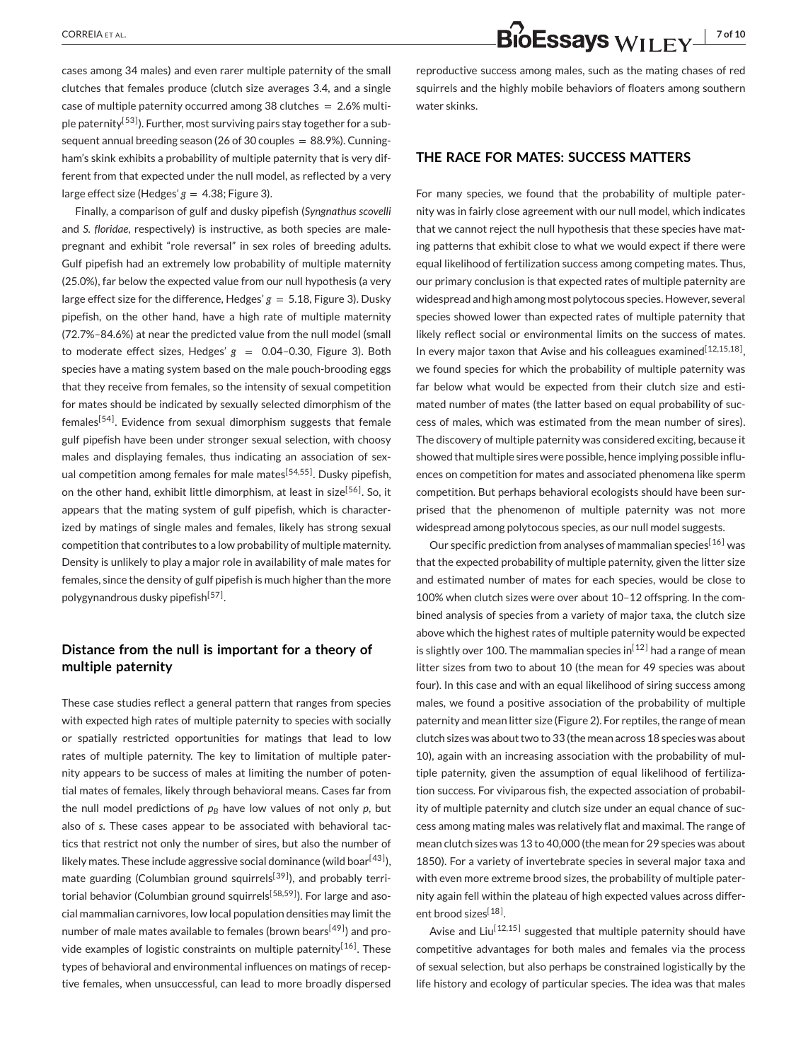cases among 34 males) and even rarer multiple paternity of the small clutches that females produce (clutch size averages 3.4, and a single case of multiple paternity occurred among 38 clutches  $= 2.6\%$  multiple paternity<sup>[53]</sup>). Further, most surviving pairs stay together for a subsequent annual breeding season (26 of 30 couples  $= 88.9\%$ ). Cunningham's skink exhibits a probability of multiple paternity that is very different from that expected under the null model, as reflected by a very large effect size (Hedges'  $g = 4.38$ ; Figure [3\)](#page-5-0).

Finally, a comparison of gulf and dusky pipefish (*Syngnathus scovelli* and *S. floridae*, respectively) is instructive, as both species are malepregnant and exhibit "role reversal" in sex roles of breeding adults. Gulf pipefish had an extremely low probability of multiple maternity (25.0%), far below the expected value from our null hypothesis (a very large effect size for the difference, Hedges'  $g = 5.18$ , Figure [3\)](#page-5-0). Dusky pipefish, on the other hand, have a high rate of multiple maternity (72.7%–84.6%) at near the predicted value from the null model (small to moderate effect sizes, Hedges'  $g = 0.04-0.30$ , Figure [3\)](#page-5-0). Both species have a mating system based on the male pouch-brooding eggs that they receive from females, so the intensity of sexual competition for mates should be indicated by sexually selected dimorphism of the  $f$ emales<sup>[54]</sup>. Evidence from sexual dimorphism suggests that female gulf pipefish have been under stronger sexual selection, with choosy males and displaying females, thus indicating an association of sexual competition among females for male mates<sup>[54,55]</sup>. Dusky pipefish, on the other hand, exhibit little dimorphism, at least in size<sup>[56]</sup>. So, it appears that the mating system of gulf pipefish, which is characterized by matings of single males and females, likely has strong sexual competition that contributes to a low probability of multiple maternity. Density is unlikely to play a major role in availability of male mates for females, since the density of gulf pipefish is much higher than the more polygynandrous dusky pipefish<sup>[57]</sup>.

## **Distance from the null is important for a theory of multiple paternity**

These case studies reflect a general pattern that ranges from species with expected high rates of multiple paternity to species with socially or spatially restricted opportunities for matings that lead to low rates of multiple paternity. The key to limitation of multiple paternity appears to be success of males at limiting the number of potential mates of females, likely through behavioral means. Cases far from the null model predictions of  $p_B$  have low values of not only  $p$ , but also of *s*. These cases appear to be associated with behavioral tactics that restrict not only the number of sires, but also the number of likely mates. These include aggressive social dominance (wild boar $^{[43]}$ ), mate guarding (Columbian ground squirrels<sup>[39]</sup>), and probably territorial behavior (Columbian ground squirrels<sup>[58,59]</sup>). For large and asocial mammalian carnivores, low local population densities may limit the number of male mates available to females (brown bears<sup>[49]</sup>) and provide examples of logistic constraints on multiple paternity<sup>[16]</sup>. These types of behavioral and environmental influences on matings of receptive females, when unsuccessful, can lead to more broadly dispersed

# CORREIA ET AL. **7 of 10**<br>**CORREIA** ET AL. **7 of 10**

reproductive success among males, such as the mating chases of red squirrels and the highly mobile behaviors of floaters among southern water skinks.

## **THE RACE FOR MATES: SUCCESS MATTERS**

For many species, we found that the probability of multiple paternity was in fairly close agreement with our null model, which indicates that we cannot reject the null hypothesis that these species have mating patterns that exhibit close to what we would expect if there were equal likelihood of fertilization success among competing mates. Thus, our primary conclusion is that expected rates of multiple paternity are widespread and high among most polytocous species. However, several species showed lower than expected rates of multiple paternity that likely reflect social or environmental limits on the success of mates. In every major taxon that Avise and his colleagues examined<sup>[12,15,18]</sup>, we found species for which the probability of multiple paternity was far below what would be expected from their clutch size and estimated number of mates (the latter based on equal probability of success of males, which was estimated from the mean number of sires). The discovery of multiple paternity was considered exciting, because it showed that multiple sires were possible, hence implying possible influences on competition for mates and associated phenomena like sperm competition. But perhaps behavioral ecologists should have been surprised that the phenomenon of multiple paternity was not more widespread among polytocous species, as our null model suggests.

Our specific prediction from analyses of mammalian species<sup>[16]</sup> was that the expected probability of multiple paternity, given the litter size and estimated number of mates for each species, would be close to 100% when clutch sizes were over about 10–12 offspring. In the combined analysis of species from a variety of major taxa, the clutch size above which the highest rates of multiple paternity would be expected is slightly over 100. The mammalian species in<sup>[12]</sup> had a range of mean litter sizes from two to about 10 (the mean for 49 species was about four). In this case and with an equal likelihood of siring success among males, we found a positive association of the probability of multiple paternity and mean litter size (Figure [2\)](#page-3-0). For reptiles, the range of mean clutch sizes was about two to 33 (the mean across 18 species was about 10), again with an increasing association with the probability of multiple paternity, given the assumption of equal likelihood of fertilization success. For viviparous fish, the expected association of probability of multiple paternity and clutch size under an equal chance of success among mating males was relatively flat and maximal. The range of mean clutch sizes was 13 to 40,000 (the mean for 29 species was about 1850). For a variety of invertebrate species in several major taxa and with even more extreme brood sizes, the probability of multiple paternity again fell within the plateau of high expected values across different brood sizes<sup>[18]</sup>.

Avise and Liu<sup>[12,15]</sup> suggested that multiple paternity should have competitive advantages for both males and females via the process of sexual selection, but also perhaps be constrained logistically by the life history and ecology of particular species. The idea was that males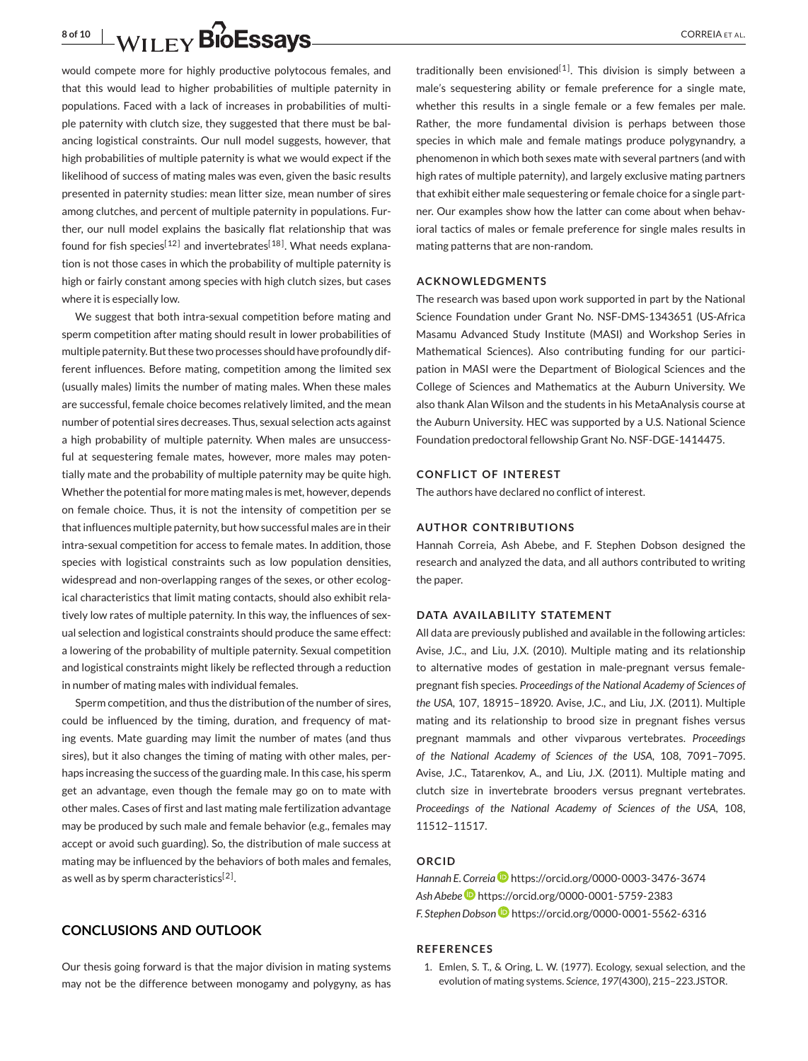<span id="page-7-0"></span>would compete more for highly productive polytocous females, and that this would lead to higher probabilities of multiple paternity in populations. Faced with a lack of increases in probabilities of multiple paternity with clutch size, they suggested that there must be balancing logistical constraints. Our null model suggests, however, that high probabilities of multiple paternity is what we would expect if the likelihood of success of mating males was even, given the basic results presented in paternity studies: mean litter size, mean number of sires among clutches, and percent of multiple paternity in populations. Further, our null model explains the basically flat relationship that was found for fish species<sup>[12]</sup> and invertebrates<sup>[18]</sup>. What needs explanation is not those cases in which the probability of multiple paternity is high or fairly constant among species with high clutch sizes, but cases where it is especially low.

We suggest that both intra-sexual competition before mating and sperm competition after mating should result in lower probabilities of multiple paternity. But these two processes should have profoundly different influences. Before mating, competition among the limited sex (usually males) limits the number of mating males. When these males are successful, female choice becomes relatively limited, and the mean number of potential sires decreases. Thus, sexual selection acts against a high probability of multiple paternity. When males are unsuccessful at sequestering female mates, however, more males may potentially mate and the probability of multiple paternity may be quite high. Whether the potential for more mating males is met, however, depends on female choice. Thus, it is not the intensity of competition per se that influences multiple paternity, but how successful males are in their intra-sexual competition for access to female mates. In addition, those species with logistical constraints such as low population densities, widespread and non-overlapping ranges of the sexes, or other ecological characteristics that limit mating contacts, should also exhibit relatively low rates of multiple paternity. In this way, the influences of sexual selection and logistical constraints should produce the same effect: a lowering of the probability of multiple paternity. Sexual competition and logistical constraints might likely be reflected through a reduction in number of mating males with individual females.

Sperm competition, and thus the distribution of the number of sires, could be influenced by the timing, duration, and frequency of mating events. Mate guarding may limit the number of mates (and thus sires), but it also changes the timing of mating with other males, perhaps increasing the success of the guarding male. In this case, his sperm get an advantage, even though the female may go on to mate with other males. Cases of first and last mating male fertilization advantage may be produced by such male and female behavior (e.g., females may accept or avoid such guarding). So, the distribution of male success at mating may be influenced by the behaviors of both males and females, as well as by sperm characteristics<sup>[\[2\]](#page-8-0)</sup>.

#### **CONCLUSIONS AND OUTLOOK**

Our thesis going forward is that the major division in mating systems may not be the difference between monogamy and polygyny, as has

traditionally been envisioned<sup>[1]</sup>. This division is simply between a male's sequestering ability or female preference for a single mate, whether this results in a single female or a few females per male. Rather, the more fundamental division is perhaps between those species in which male and female matings produce polygynandry, a phenomenon in which both sexes mate with several partners (and with high rates of multiple paternity), and largely exclusive mating partners that exhibit either male sequestering or female choice for a single partner. Our examples show how the latter can come about when behavioral tactics of males or female preference for single males results in mating patterns that are non-random.

#### **ACKNOWLEDGMENTS**

The research was based upon work supported in part by the National Science Foundation under Grant No. NSF-DMS-1343651 (US-Africa Masamu Advanced Study Institute (MASI) and Workshop Series in Mathematical Sciences). Also contributing funding for our participation in MASI were the Department of Biological Sciences and the College of Sciences and Mathematics at the Auburn University. We also thank Alan Wilson and the students in his MetaAnalysis course at the Auburn University. HEC was supported by a U.S. National Science Foundation predoctoral fellowship Grant No. NSF-DGE-1414475.

#### **CONFLICT OF INTEREST**

The authors have declared no conflict of interest.

#### **AUTHOR CONTRIBUTIONS**

Hannah Correia, Ash Abebe, and F. Stephen Dobson designed the research and analyzed the data, and all authors contributed to writing the paper.

#### **DATA AVAILABILITY STATEMENT**

All data are previously published and available in the following articles: Avise, J.C., and Liu, J.X. (2010). Multiple mating and its relationship to alternative modes of gestation in male-pregnant versus femalepregnant fish species. *Proceedings of the National Academy of Sciences of the USA*, 107, 18915–18920. Avise, J.C., and Liu, J.X. (2011). Multiple mating and its relationship to brood size in pregnant fishes versus pregnant mammals and other vivparous vertebrates. *Proceedings of the National Academy of Sciences of the USA*, 108, 7091–7095. Avise, J.C., Tatarenkov, A., and Liu, J.X. (2011). Multiple mating and clutch size in invertebrate brooders versus pregnant vertebrates. *Proceedings of the National Academy of Sciences of the USA*, 108, 11512–11517.

#### **ORCID**

*Hannah E. Correi[a](https://orcid.org/0000-0003-3476-3674)* <https://orcid.org/0000-0003-3476-3674> *Ash Abebe* <https://orcid.org/0000-0001-5759-2383> *F. Stephen Dobson* <https://orcid.org/0000-0001-5562-6316>

#### **REFERENCES**

1. Emlen, S. T., & Oring, L. W. (1977). Ecology, sexual selection, and the evolution of mating systems. *Science*, *197*(4300), 215–223.JSTOR.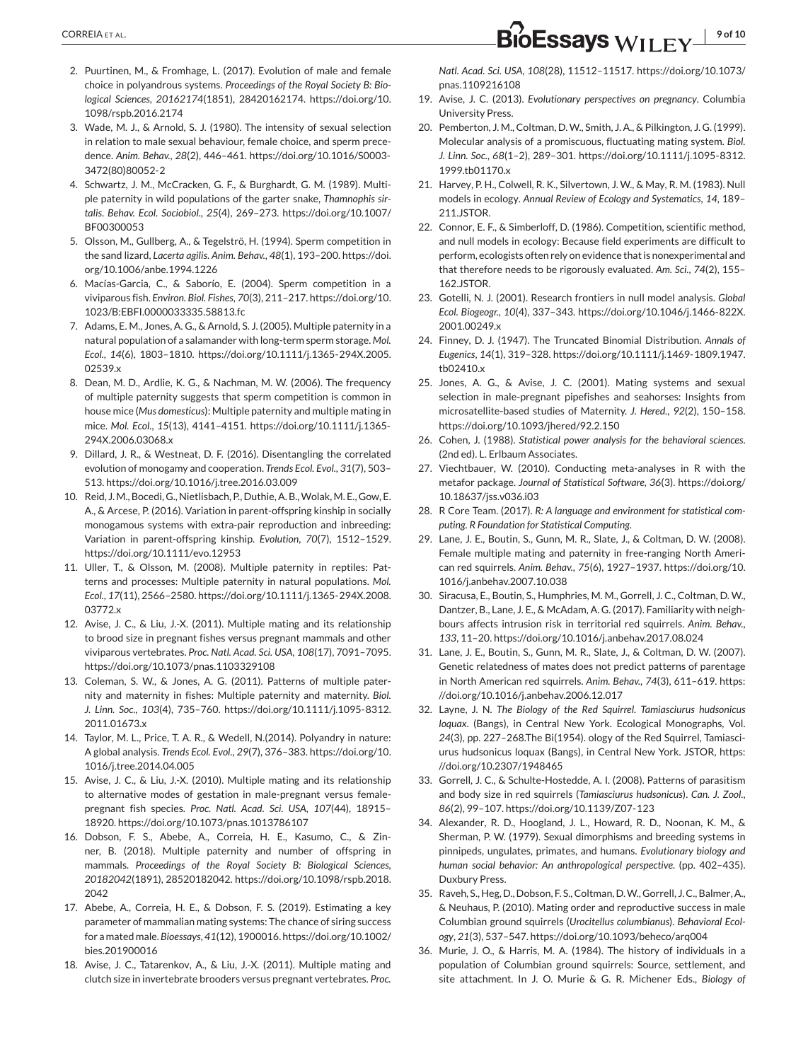- <span id="page-8-0"></span>2. Puurtinen, M., & Fromhage, L. (2017). Evolution of male and female choice in polyandrous systems. *Proceedings of the Royal Society B: Biological Sciences*, *20162174*(1851), 28420162174. [https://doi.org/10.](https://doi.org/10.1098/rspb.2016.2174) [1098/rspb.2016.2174](https://doi.org/10.1098/rspb.2016.2174)
- 3. Wade, M. J., & Arnold, S. J. (1980). The intensity of sexual selection in relation to male sexual behaviour, female choice, and sperm precedence. *Anim. Behav.*, *28*(2), 446–461. [https://doi.org/10.1016/S0003-](https://doi.org/10.1016/S0003-3472(80)80052-2) [3472\(80\)80052-2](https://doi.org/10.1016/S0003-3472(80)80052-2)
- 4. Schwartz, J. M., McCracken, G. F., & Burghardt, G. M. (1989). Multiple paternity in wild populations of the garter snake, *Thamnophis sirtalis*. *Behav. Ecol. Sociobiol.*, *25*(4), 269–273. [https://doi.org/10.1007/](https://doi.org/10.1007/BF00300053) [BF00300053](https://doi.org/10.1007/BF00300053)
- 5. Olsson, M., Gullberg, A., & Tegelströ, H. (1994). Sperm competition in the sand lizard, *Lacerta agilis*. *Anim. Behav.*, *48*(1), 193–200. [https://doi.](https://doi.org/10.1006/anbe.1994.1226) [org/10.1006/anbe.1994.1226](https://doi.org/10.1006/anbe.1994.1226)
- 6. Macías-Garcia, C., & Saborío, E. (2004). Sperm competition in a viviparous fish. *Environ. Biol. Fishes*, *70*(3), 211–217[. https://doi.org/10.](https://doi.org/10.1023/B:EBFI.0000033335.58813.fc) [1023/B:EBFI.0000033335.58813.fc](https://doi.org/10.1023/B:EBFI.0000033335.58813.fc)
- 7. Adams, E. M., Jones, A. G., & Arnold, S. J. (2005). Multiple paternity in a natural population of a salamander with long-term sperm storage. *Mol. Ecol.*, *14*(6), 1803–1810. [https://doi.org/10.1111/j.1365-294X.2005.](https://doi.org/10.1111/j.1365-294X.2005.02539.x) [02539.x](https://doi.org/10.1111/j.1365-294X.2005.02539.x)
- 8. Dean, M. D., Ardlie, K. G., & Nachman, M. W. (2006). The frequency of multiple paternity suggests that sperm competition is common in house mice (*Mus domesticus*): Multiple paternity and multiple mating in mice. *Mol. Ecol.*, *15*(13), 4141–4151. [https://doi.org/10.1111/j.1365-](https://doi.org/10.1111/j.1365-294X.2006.03068.x) [294X.2006.03068.x](https://doi.org/10.1111/j.1365-294X.2006.03068.x)
- 9. Dillard, J. R., & Westneat, D. F. (2016). Disentangling the correlated evolution of monogamy and cooperation. *Trends Ecol. Evol.*, *31*(7), 503– 513.<https://doi.org/10.1016/j.tree.2016.03.009>
- 10. Reid, J. M., Bocedi, G., Nietlisbach, P., Duthie, A. B.,Wolak, M. E., Gow, E. A., & Arcese, P. (2016). Variation in parent-offspring kinship in socially monogamous systems with extra-pair reproduction and inbreeding: Variation in parent-offspring kinship. *Evolution*, *70*(7), 1512–1529. <https://doi.org/10.1111/evo.12953>
- 11. Uller, T., & Olsson, M. (2008). Multiple paternity in reptiles: Patterns and processes: Multiple paternity in natural populations. *Mol. Ecol.*, *17*(11), 2566–2580. [https://doi.org/10.1111/j.1365-294X.2008.](https://doi.org/10.1111/j.1365-294X.2008.03772.x) [03772.x](https://doi.org/10.1111/j.1365-294X.2008.03772.x)
- 12. Avise, J. C., & Liu, J.-X. (2011). Multiple mating and its relationship to brood size in pregnant fishes versus pregnant mammals and other viviparous vertebrates. *Proc. Natl. Acad. Sci. USA*, *108*(17), 7091–7095. <https://doi.org/10.1073/pnas.1103329108>
- 13. Coleman, S. W., & Jones, A. G. (2011). Patterns of multiple paternity and maternity in fishes: Multiple paternity and maternity. *Biol. J. Linn. Soc.*, *103*(4), 735–760. [https://doi.org/10.1111/j.1095-8312.](https://doi.org/10.1111/j.1095-8312.2011.01673.x) [2011.01673.x](https://doi.org/10.1111/j.1095-8312.2011.01673.x)
- 14. Taylor, M. L., Price, T. A. R., & Wedell, N.(2014). Polyandry in nature: A global analysis. *Trends Ecol. Evol.*, *29*(7), 376–383. [https://doi.org/10.](https://doi.org/10.1016/j.tree.2014.04.005) [1016/j.tree.2014.04.005](https://doi.org/10.1016/j.tree.2014.04.005)
- 15. Avise, J. C., & Liu, J.-X. (2010). Multiple mating and its relationship to alternative modes of gestation in male-pregnant versus femalepregnant fish species. *Proc. Natl. Acad. Sci. USA*, *107*(44), 18915– 18920.<https://doi.org/10.1073/pnas.1013786107>
- 16. Dobson, F. S., Abebe, A., Correia, H. E., Kasumo, C., & Zinner, B. (2018). Multiple paternity and number of offspring in mammals. *Proceedings of the Royal Society B: Biological Sciences*, *20182042*(1891), 28520182042. [https://doi.org/10.1098/rspb.2018.](https://doi.org/10.1098/rspb.2018.2042) [2042](https://doi.org/10.1098/rspb.2018.2042)
- 17. Abebe, A., Correia, H. E., & Dobson, F. S. (2019). Estimating a key parameter of mammalian mating systems: The chance of siring success for a mated male. *Bioessays*, *41*(12), 1900016[. https://doi.org/10.1002/](https://doi.org/10.1002/bies.201900016) [bies.201900016](https://doi.org/10.1002/bies.201900016)
- 18. Avise, J. C., Tatarenkov, A., & Liu, J.-X. (2011). Multiple mating and clutch size in invertebrate brooders versus pregnant vertebrates. *Proc.*

*Natl. Acad. Sci. USA*, *108*(28), 11512–11517. [https://doi.org/10.1073/](https://doi.org/10.1073/pnas.1109216108) [pnas.1109216108](https://doi.org/10.1073/pnas.1109216108)

- 19. Avise, J. C. (2013). *Evolutionary perspectives on pregnancy*. Columbia University Press.
- 20. Pemberton, J. M., Coltman, D. W., Smith, J. A., & Pilkington, J. G. (1999). Molecular analysis of a promiscuous, fluctuating mating system. *Biol. J. Linn. Soc.*, *68*(1–2), 289–301. [https://doi.org/10.1111/j.1095-8312.](https://doi.org/10.1111/j.1095-8312.1999.tb01170.x) [1999.tb01170.x](https://doi.org/10.1111/j.1095-8312.1999.tb01170.x)
- 21. Harvey, P. H., Colwell, R. K., Silvertown, J. W., & May, R. M. (1983). Null models in ecology. *Annual Review of Ecology and Systematics*, *14*, 189– 211.JSTOR.
- 22. Connor, E. F., & Simberloff, D. (1986). Competition, scientific method, and null models in ecology: Because field experiments are difficult to perform, ecologists often rely on evidence that is nonexperimental and that therefore needs to be rigorously evaluated. *Am. Sci.*, *74*(2), 155– 162.JSTOR.
- 23. Gotelli, N. J. (2001). Research frontiers in null model analysis. *Global Ecol. Biogeogr.*, *10*(4), 337–343. [https://doi.org/10.1046/j.1466-822X.](https://doi.org/10.1046/j.1466-822X.2001.00249.x) [2001.00249.x](https://doi.org/10.1046/j.1466-822X.2001.00249.x)
- 24. Finney, D. J. (1947). The Truncated Binomial Distribution. *Annals of Eugenics*, *14*(1), 319–328. [https://doi.org/10.1111/j.1469-1809.1947.](https://doi.org/10.1111/j.1469-1809.1947.tb02410.x) [tb02410.x](https://doi.org/10.1111/j.1469-1809.1947.tb02410.x)
- 25. Jones, A. G., & Avise, J. C. (2001). Mating systems and sexual selection in male-pregnant pipefishes and seahorses: Insights from microsatellite-based studies of Maternity. *J. Hered.*, *92*(2), 150–158. <https://doi.org/10.1093/jhered/92.2.150>
- 26. Cohen, J. (1988). *Statistical power analysis for the behavioral sciences*. (2nd ed). L. Erlbaum Associates.
- 27. Viechtbauer, W. (2010). Conducting meta-analyses in R with the metafor package. *Journal of Statistical Software*, *36*(3). [https://doi.org/](https://doi.org/10.18637/jss.v036.i03) [10.18637/jss.v036.i03](https://doi.org/10.18637/jss.v036.i03)
- 28. R Core Team. (2017). *R: A language and environment for statistical computing. R Foundation for Statistical Computing*.
- 29. Lane, J. E., Boutin, S., Gunn, M. R., Slate, J., & Coltman, D. W. (2008). Female multiple mating and paternity in free-ranging North American red squirrels. *Anim. Behav.*, *75*(6), 1927–1937. [https://doi.org/10.](https://doi.org/10.1016/j.anbehav.2007.10.038) [1016/j.anbehav.2007.10.038](https://doi.org/10.1016/j.anbehav.2007.10.038)
- 30. Siracusa, E., Boutin, S., Humphries, M. M., Gorrell, J. C., Coltman, D. W., Dantzer, B., Lane, J. E., & McAdam, A. G. (2017). Familiarity with neighbours affects intrusion risk in territorial red squirrels. *Anim. Behav.*, *133*, 11–20.<https://doi.org/10.1016/j.anbehav.2017.08.024>
- 31. Lane, J. E., Boutin, S., Gunn, M. R., Slate, J., & Coltman, D. W. (2007). Genetic relatedness of mates does not predict patterns of parentage in North American red squirrels. *Anim. Behav.*, *74*(3), 611–619. [https:](https://doi.org/10.1016/j.anbehav.2006.12.017) [//doi.org/10.1016/j.anbehav.2006.12.017](https://doi.org/10.1016/j.anbehav.2006.12.017)
- 32. Layne, J. N. *The Biology of the Red Squirrel. Tamiasciurus hudsonicus loquax*. (Bangs), in Central New York. Ecological Monographs, Vol. *24*(3), pp. 227–268.The Bi(1954). ology of the Red Squirrel, Tamiasciurus hudsonicus loquax (Bangs), in Central New York. JSTOR, [https:](https://doi.org/10.2307/1948465) [//doi.org/10.2307/1948465](https://doi.org/10.2307/1948465)
- 33. Gorrell, J. C., & Schulte-Hostedde, A. I. (2008). Patterns of parasitism and body size in red squirrels (*Tamiasciurus hudsonicus*). *Can. J. Zool.*, *86*(2), 99–107.<https://doi.org/10.1139/Z07-123>
- 34. Alexander, R. D., Hoogland, J. L., Howard, R. D., Noonan, K. M., & Sherman, P. W. (1979). Sexual dimorphisms and breeding systems in pinnipeds, ungulates, primates, and humans. *Evolutionary biology and human social behavior: An anthropological perspective*. (pp. 402–435). Duxbury Press.
- 35. Raveh, S., Heg, D., Dobson, F. S., Coltman, D.W., Gorrell, J. C., Balmer, A., & Neuhaus, P. (2010). Mating order and reproductive success in male Columbian ground squirrels (*Urocitellus columbianus*). *Behavioral Ecology*, *21*(3), 537–547.<https://doi.org/10.1093/beheco/arq004>
- 36. Murie, J. O., & Harris, M. A. (1984). The history of individuals in a population of Columbian ground squirrels: Source, settlement, and site attachment. In J. O. Murie & G. R. Michener Eds., *Biology of*